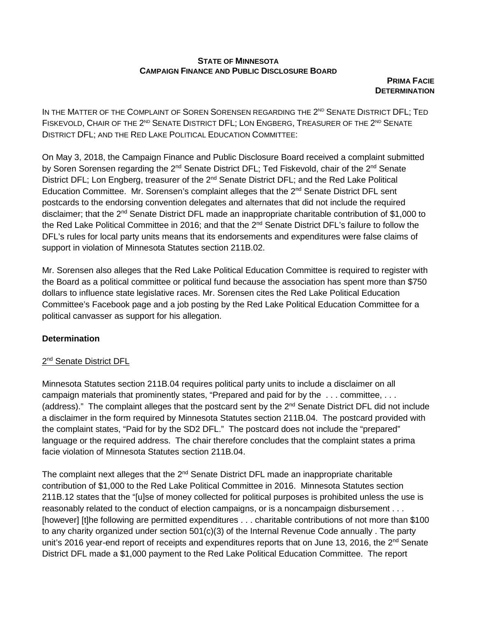## **STATE OF MINNESOTA CAMPAIGN FINANCE AND PUBLIC DISCLOSURE BOARD**

**PRIMA FACIE DETERMINATION** 

IN THE MATTER OF THE COMPLAINT OF SOREN SORENSEN REGARDING THE 2<sup>ND</sup> SENATE DISTRICT DFL; TED FISKEVOLD, CHAIR OF THE 2<sup>ND</sup> SENATE DISTRICT DFL; LON ENGBERG, TREASURER OF THE 2<sup>ND</sup> SENATE DISTRICT DFL; AND THE RED LAKE POLITICAL EDUCATION COMMITTEE:

On May 3, 2018, the Campaign Finance and Public Disclosure Board received a complaint submitted by Soren Sorensen regarding the 2<sup>nd</sup> Senate District DFL; Ted Fiskevold, chair of the 2<sup>nd</sup> Senate District DFL; Lon Engberg, treasurer of the 2<sup>nd</sup> Senate District DFL; and the Red Lake Political Education Committee. Mr. Sorensen's complaint alleges that the  $2<sup>nd</sup>$  Senate District DFL sent postcards to the endorsing convention delegates and alternates that did not include the required disclaimer; that the 2<sup>nd</sup> Senate District DFL made an inappropriate charitable contribution of \$1,000 to the Red Lake Political Committee in 2016; and that the 2<sup>nd</sup> Senate District DFL's failure to follow the DFL's rules for local party units means that its endorsements and expenditures were false claims of support in violation of Minnesota Statutes section 211B.02.

Mr. Sorensen also alleges that the Red Lake Political Education Committee is required to register with the Board as a political committee or political fund because the association has spent more than \$750 dollars to influence state legislative races. Mr. Sorensen cites the Red Lake Political Education Committee's Facebook page and a job posting by the Red Lake Political Education Committee for a political canvasser as support for his allegation.

## **Determination**

## 2<sup>nd</sup> Senate District DFL

Minnesota Statutes section 211B.04 requires political party units to include a disclaimer on all campaign materials that prominently states, "Prepared and paid for by the ... committee, ... (address)." The complaint alleges that the postcard sent by the  $2<sup>nd</sup>$  Senate District DFL did not include a disclaimer in the form required by Minnesota Statutes section 211B.04. The postcard provided with the complaint states, "Paid for by the SD2 DFL." The postcard does not include the "prepared" language or the required address. The chair therefore concludes that the complaint states a prima facie violation of Minnesota Statutes section 211B.04.

The complaint next alleges that the 2<sup>nd</sup> Senate District DFL made an inappropriate charitable contribution of \$1,000 to the Red Lake Political Committee in 2016. Minnesota Statutes section 211B.12 states that the "[u]se of money collected for political purposes is prohibited unless the use is reasonably related to the conduct of election campaigns, or is a noncampaign disbursement . . . [however] [t]he following are permitted expenditures . . . charitable contributions of not more than \$100 to any charity organized under section 501(c)(3) of the Internal Revenue Code annually . The party unit's 2016 year-end report of receipts and expenditures reports that on June 13, 2016, the  $2^{nd}$  Senate District DFL made a \$1,000 payment to the Red Lake Political Education Committee. The report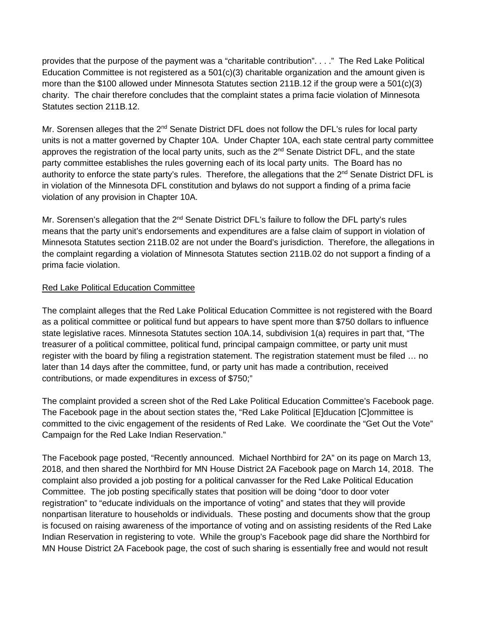provides that the purpose of the payment was a "charitable contribution". . . ." The Red Lake Political Education Committee is not registered as a 501(c)(3) charitable organization and the amount given is more than the \$100 allowed under Minnesota Statutes section 211B.12 if the group were a 501(c)(3) charity. The chair therefore concludes that the complaint states a prima facie violation of Minnesota Statutes section 211B.12.

Mr. Sorensen alleges that the 2<sup>nd</sup> Senate District DFL does not follow the DFL's rules for local party units is not a matter governed by Chapter 10A. Under Chapter 10A, each state central party committee approves the registration of the local party units, such as the 2<sup>nd</sup> Senate District DFL, and the state party committee establishes the rules governing each of its local party units. The Board has no authority to enforce the state party's rules. Therefore, the allegations that the  $2^{nd}$  Senate District DFL is in violation of the Minnesota DFL constitution and bylaws do not support a finding of a prima facie violation of any provision in Chapter 10A.

Mr. Sorensen's allegation that the 2<sup>nd</sup> Senate District DFL's failure to follow the DFL party's rules means that the party unit's endorsements and expenditures are a false claim of support in violation of Minnesota Statutes section 211B.02 are not under the Board's jurisdiction. Therefore, the allegations in the complaint regarding a violation of Minnesota Statutes section 211B.02 do not support a finding of a prima facie violation.

## Red Lake Political Education Committee

The complaint alleges that the Red Lake Political Education Committee is not registered with the Board as a political committee or political fund but appears to have spent more than \$750 dollars to influence state legislative races. Minnesota Statutes section 10A.14, subdivision 1(a) requires in part that, "The treasurer of a political committee, political fund, principal campaign committee, or party unit must register with the board by filing a registration statement. The registration statement must be filed … no later than 14 days after the committee, fund, or party unit has made a contribution, received contributions, or made expenditures in excess of \$750;"

The complaint provided a screen shot of the Red Lake Political Education Committee's Facebook page. The Facebook page in the about section states the, "Red Lake Political [E]ducation [C]ommittee is committed to the civic engagement of the residents of Red Lake. We coordinate the "Get Out the Vote" Campaign for the Red Lake Indian Reservation."

The Facebook page posted, "Recently announced. Michael Northbird for 2A" on its page on March 13, 2018, and then shared the Northbird for MN House District 2A Facebook page on March 14, 2018. The complaint also provided a job posting for a political canvasser for the Red Lake Political Education Committee. The job posting specifically states that position will be doing "door to door voter registration" to "educate individuals on the importance of voting" and states that they will provide nonpartisan literature to households or individuals. These posting and documents show that the group is focused on raising awareness of the importance of voting and on assisting residents of the Red Lake Indian Reservation in registering to vote. While the group's Facebook page did share the Northbird for MN House District 2A Facebook page, the cost of such sharing is essentially free and would not result